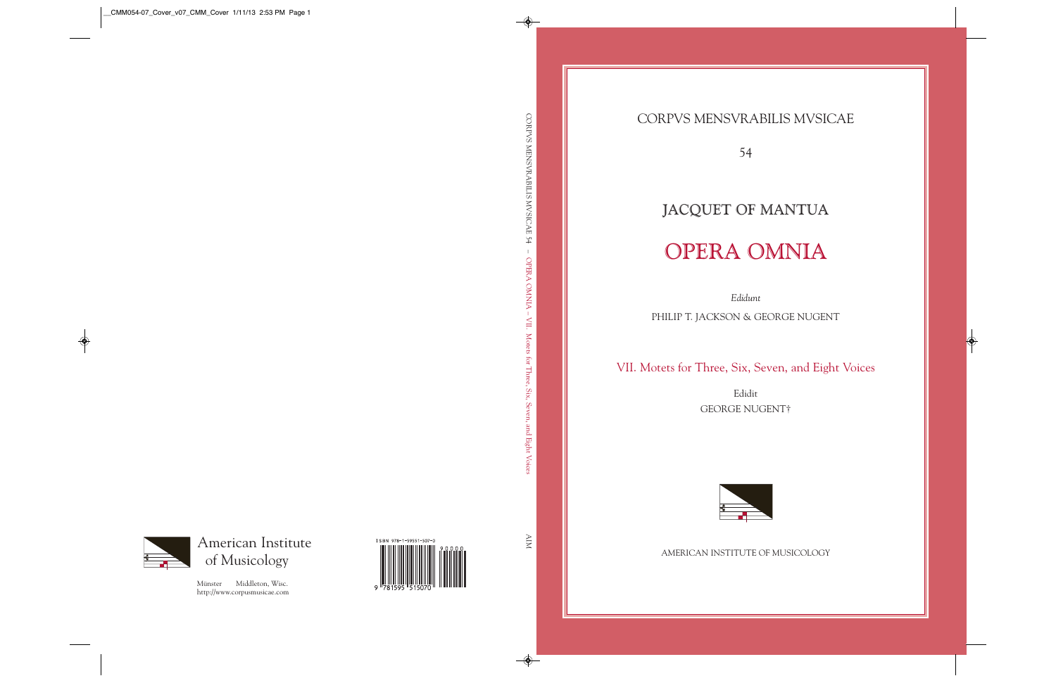CORPVS MENSVRABILIS MVSICAE

54

## JACQUET OF MANTUA OPERA OMNIA

*Edidunt* 

PHILIP T. JACKSON & GEORGE NUGENT

VII. Motets for Three, Six, Seven, and Eight Voices

Edidit GEORGE NUGENT†



AMERICAN INSTITUTE OF MUSICOLOGY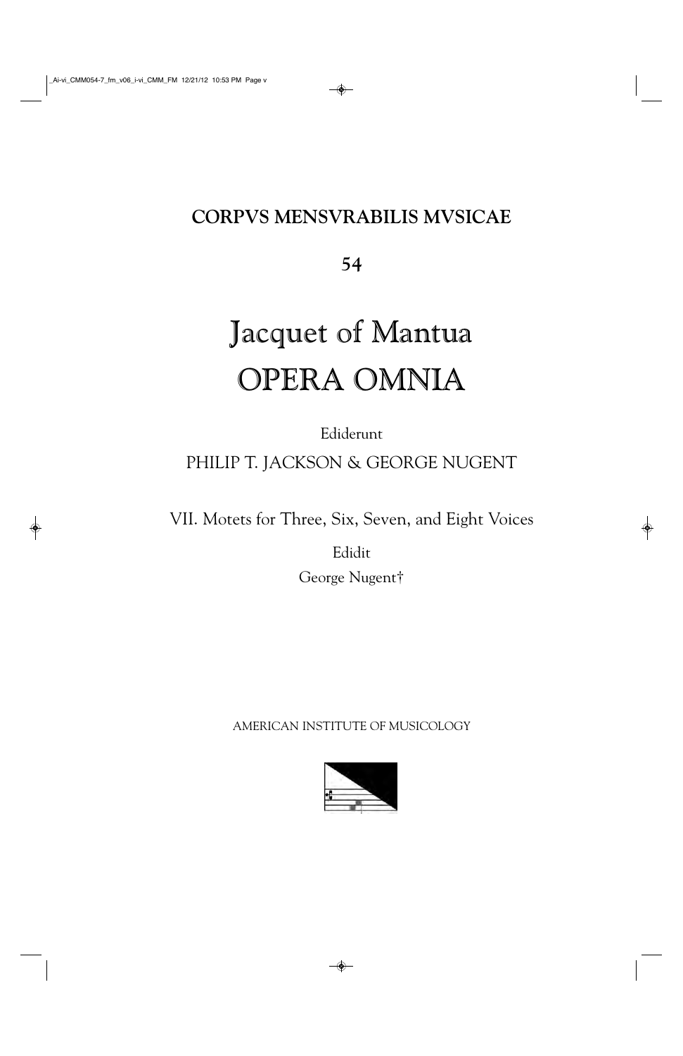## **CORPVS MENSVRABILIS MVSICAE**

**54**

# Jacquet of Mantua OPERA OMNIA

Ediderunt

PHILIP T. JACKSON & GEORGE NUGENT

VII. Motets for Three, Six, Seven, and Eight Voices

Edidit George Nugent†

AMERICAN INSTITUTE OF MUSICOLOGY

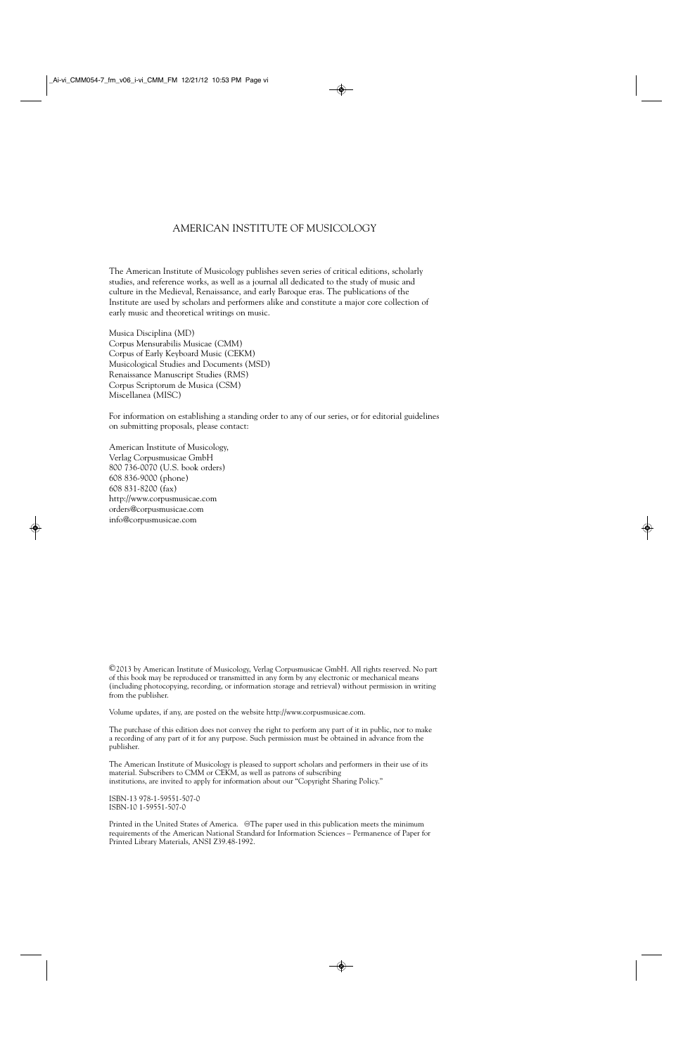#### AMERICAN INSTITUTE OF MUSICOLOGY

The American Institute of Musicology publishes seven series of critical editions, scholarly studies, and reference works, as well as a journal all dedicated to the study of music and culture in the Medieval, Renaissance, and early Baroque eras. The publications of the Institute are used by scholars and performers alike and constitute a major core collection of early music and theoretical writings on music.

Musica Disciplina (MD) Corpus Mensurabilis Musicae (CMM) Corpus of Early Keyboard Music (CEKM) Musicological Studies and Documents (MSD) Renaissance Manuscript Studies (RMS) Corpus Scriptorum de Musica (CSM) Miscellanea (MISC)

For information on establishing a standing order to any of our series, or for editorial guidelines on submitting proposals, please contact:

American Institute of Musicology, Verlag Corpusmusicae GmbH 800 736-0070 (U.S. book orders) 608 836-9000 (phone) 608 831-8200 (fax) http://www.corpusmusicae.com orders@corpusmusicae.com info@corpusmusicae.com

©2013 by American Institute of Musicology, Verlag Corpusmusicae GmbH. All rights reserved. No part of this book may be reproduced or transmitted in any form by any electronic or mechanical means (including photocopying, recording, or information storage and retrieval) without permission in writing from the publisher.

Volume updates, if any, are posted on the website http://www.corpusmusicae.com.

The purchase of this edition does not convey the right to perform any part of it in public, nor to make a recording of any part of it for any purpose. Such permission must be obtained in advance from the publisher.

The American Institute of Musicology is pleased to support scholars and performers in their use of its material. Subscribers to CMM or CEKM, as well as patrons of subscribing institutions, are invited to apply for information about our "Copyright Sharing Policy."

ISBN-13 978-1-59551-507-0 ISBN-10 1-59551-507-0

Printed in the United States of America. @The paper used in this publication meets the minimum requirements of the American National Standard for Information Sciences – Permanence of Paper for Printed Library Materials, ANSI Z39.48-1992.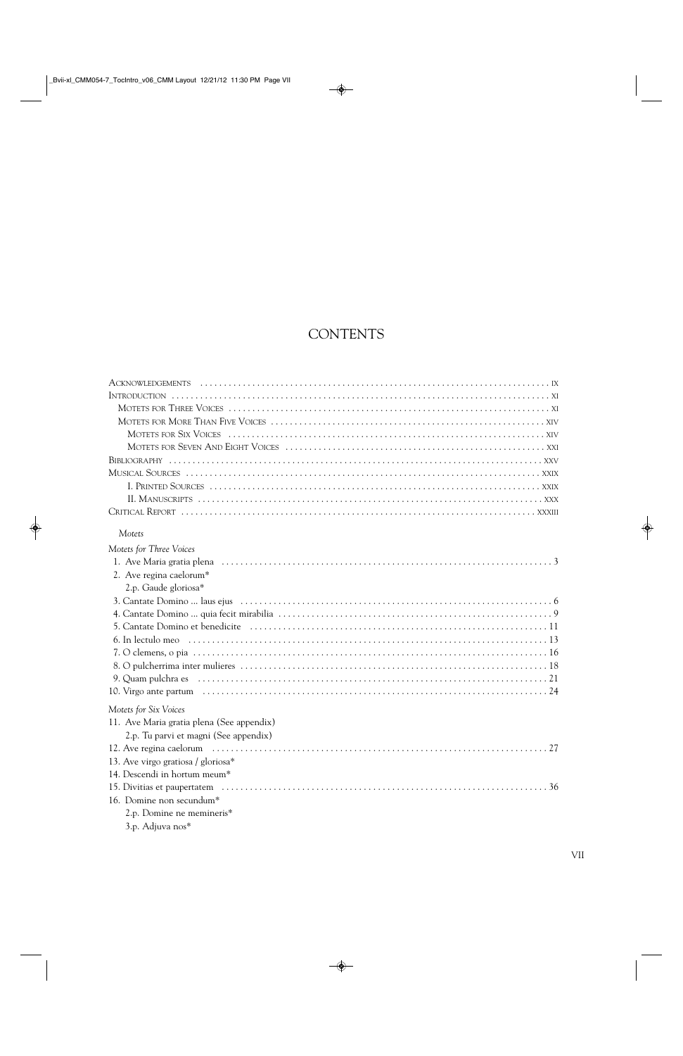### **CONTENTS**

| Motets                                    |
|-------------------------------------------|
| Motets for Three Voices                   |
|                                           |
| 2. Ave regina caelorum*                   |
| 2.p. Gaude gloriosa*                      |
|                                           |
|                                           |
|                                           |
|                                           |
|                                           |
|                                           |
|                                           |
|                                           |
| Motets for Six Voices                     |
| 11. Ave Maria gratia plena (See appendix) |
| 2.p. Tu parvi et magni (See appendix)     |
|                                           |
| 13. Ave virgo gratiosa / gloriosa*        |
| 14. Descendi in hortum meum*              |
|                                           |
| 16. Domine non secundum*                  |
| 2.p. Domine ne memineris*                 |
|                                           |

3.p. Adjuva nos\*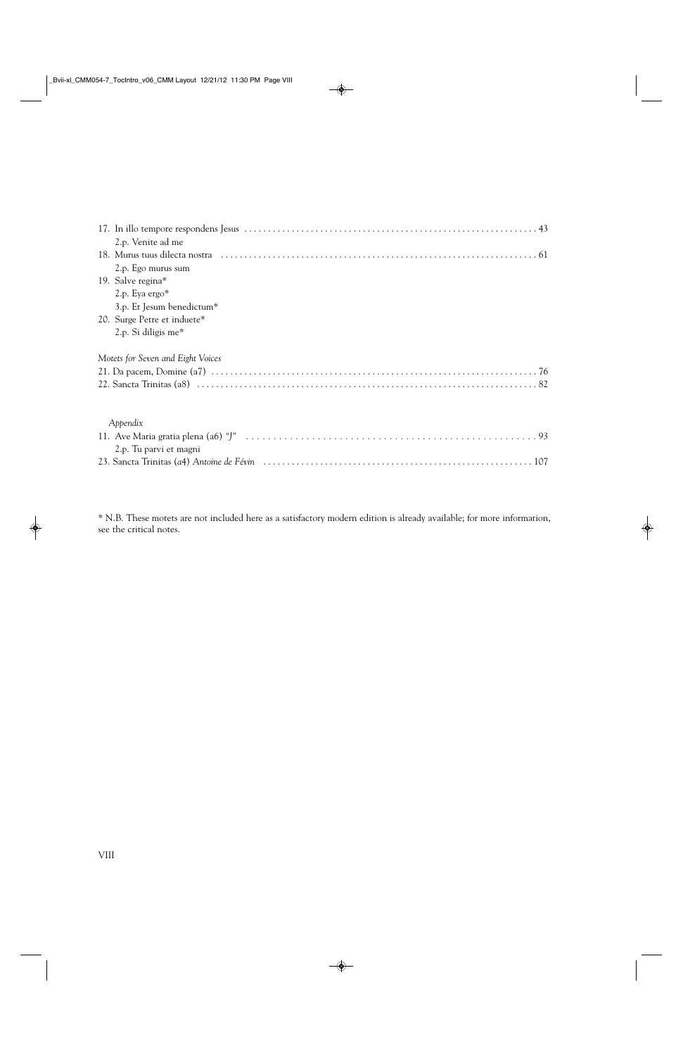| 2.p. Venite ad me                 |
|-----------------------------------|
|                                   |
| 2.p. Ego murus sum                |
| 19. Salve regina*                 |
| 2.p. Eya ergo*                    |
| 3.p. Et Jesum benedictum*         |
| 20. Surge Petre et induete*       |
| 2.p. Si diligis me $*$            |
| Motets for Seven and Eight Voices |
|                                   |
|                                   |
| Appendix                          |
|                                   |
| 2.p. Tu parvi et magni            |
|                                   |

\* N.B. These motets are not included here as a satisfactory modern edition is already available; for more information, see the critical notes.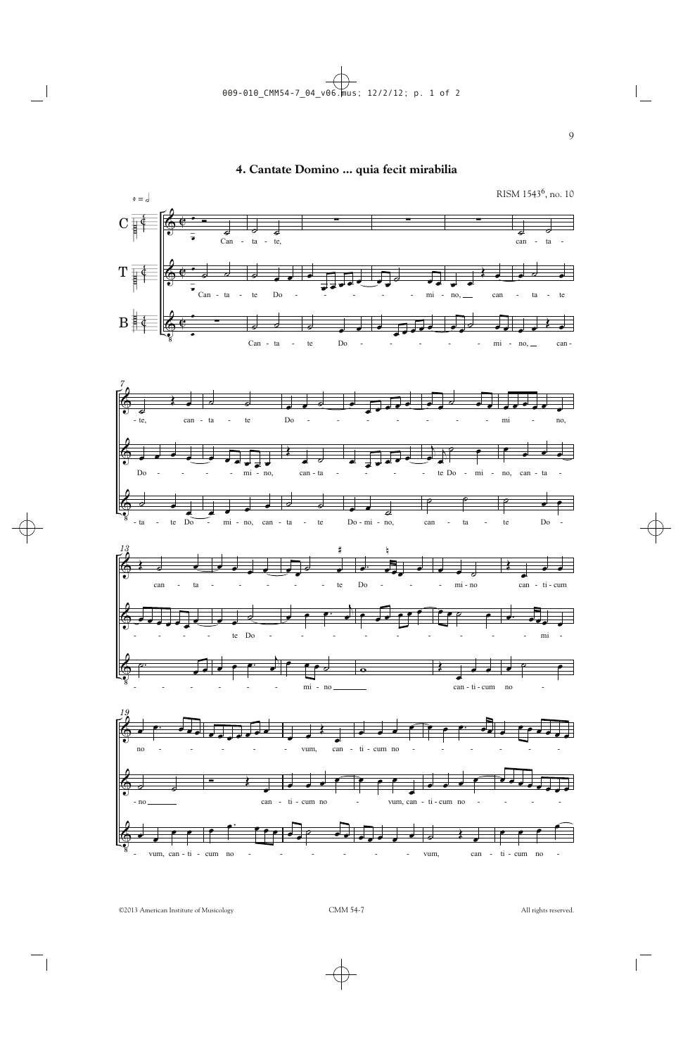#### **4. Cantate Domino ... quia fecit mirabilia**

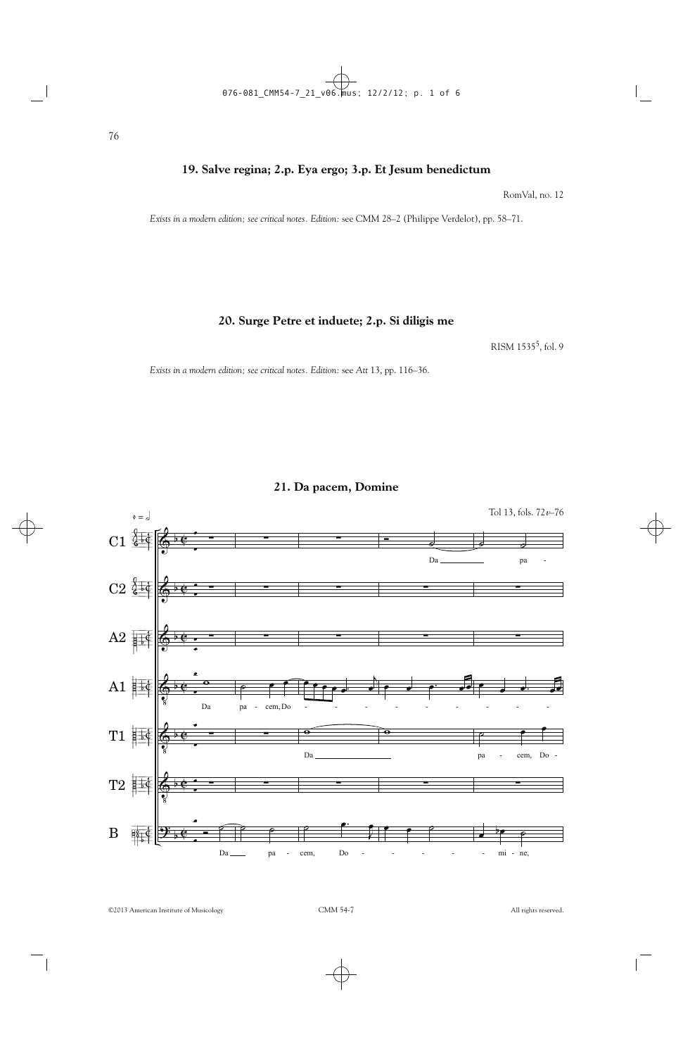#### **19. Salve regina; 2.p. Eya ergo; 3.p. Et Jesum benedictum**

RomVal, no. 12

*Exists in a modern edition; see critical notes. Edition:* see CMM 28–2 (Philippe Verdelot), pp. 58–71.

**20. Surge Petre et induete; 2.p. Si diligis me**

RISM 15355, fol. 9

*Exists in a modern edition; see critical notes. Edition:* see *Att* 13, pp. 116–36.

**21. Da pacem, Domine**